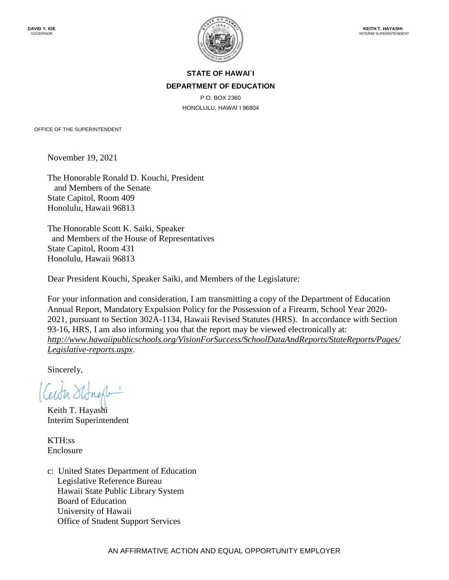

### **STATE OF HAWAI`I DEPARTMENT OF EDUCATION**

P.O. BOX 2360 HONOLULU, HAWAI`I 96804

OFFICE OF THE SUPERINTENDENT

November 19, 2021

The Honorable Ronald D. Kouchi, President and Members of the Senate State Capitol, Room 409 Honolulu, Hawaii 96813

The Honorable Scott K. Saiki, Speaker and Members of the House of Representatives State Capitol, Room 431 Honolulu, Hawaii 96813

Dear President Kouchi, Speaker Saiki, and Members of the Legislature:

For your information and consideration, I am transmitting a copy of the Department of Education Annual Report, Mandatory Expulsion Policy for the Possession of a Firearm, School Year 2020- 2021, pursuant to Section 302A-1134, Hawaii Revised Statutes (HRS). In accordance with Section 93-16, HRS, I am also informing you that the report may be viewed electronically at: *[http://www.hawaiipublicschools.org/VisionForSuccess/SchoolDataAndReports/StateReports/Pages/](http://www.hawaiipublicschools.org/VisionForSuccess/SchoolDataAndReports/StateReports/Pages/Legislative-reports.aspx) [Legislative-reports.aspx](http://www.hawaiipublicschools.org/VisionForSuccess/SchoolDataAndReports/StateReports/Pages/Legislative-reports.aspx)*.

Sincerely,

Keith T. Hayashi Interim Superintendent

KTH:ss Enclosure

c: United States Department of Education Legislative Reference Bureau Hawaii State Public Library System Board of Education University of Hawaii Office of Student Support Services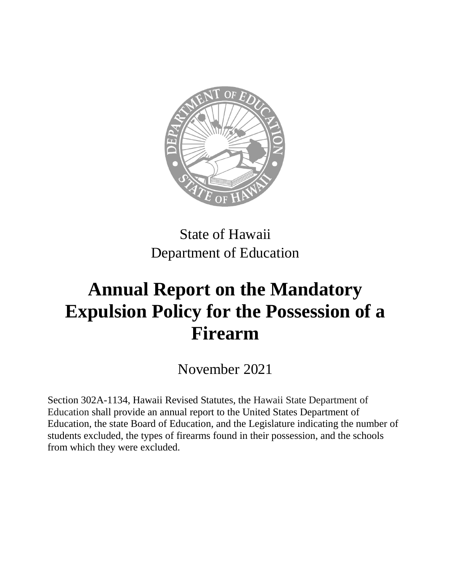

State of Hawaii Department of Education

# **Annual Report on the Mandatory Expulsion Policy for the Possession of a Firearm**

November 2021

Section 302A-1134, Hawaii Revised Statutes, the Hawaii State Department of Education shall provide an annual report to the United States Department of Education, the state Board of Education, and the Legislature indicating the number of students excluded, the types of firearms found in their possession, and the schools from which they were excluded.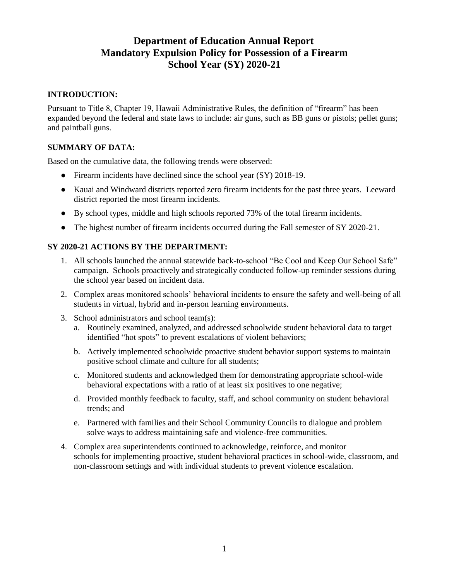# **Department of Education Annual Report Mandatory Expulsion Policy for Possession of a Firearm School Year (SY) 2020-21**

### **INTRODUCTION:**

Pursuant to Title 8, Chapter 19, Hawaii Administrative Rules, the definition of "firearm" has been expanded beyond the federal and state laws to include: air guns, such as BB guns or pistols; pellet guns; and paintball guns.

### **SUMMARY OF DATA:**

Based on the cumulative data, the following trends were observed:

- Firearm incidents have declined since the school year (SY) 2018-19.
- Kauai and Windward districts reported zero firearm incidents for the past three years. Leeward district reported the most firearm incidents.
- By school types, middle and high schools reported 73% of the total firearm incidents.
- The highest number of firearm incidents occurred during the Fall semester of SY 2020-21.

#### **SY 2020-21 ACTIONS BY THE DEPARTMENT:**

- 1. All schools launched the annual statewide back-to-school "Be Cool and Keep Our School Safe" campaign. Schools proactively and strategically conducted follow-up reminder sessions during the school year based on incident data.
- 2. Complex areas monitored schools' behavioral incidents to ensure the safety and well-being of all students in virtual, hybrid and in-person learning environments.
- 3. School administrators and school team(s):
	- a. Routinely examined, analyzed, and addressed schoolwide student behavioral data to target identified "hot spots" to prevent escalations of violent behaviors;
	- b. Actively implemented schoolwide proactive student behavior support systems to maintain positive school climate and culture for all students;
	- c. Monitored students and acknowledged them for demonstrating appropriate school-wide behavioral expectations with a ratio of at least six positives to one negative;
	- d. Provided monthly feedback to faculty, staff, and school community on student behavioral trends; and
	- e. Partnered with families and their School Community Councils to dialogue and problem solve ways to address maintaining safe and violence-free communities.
- 4. Complex area superintendents continued to acknowledge, reinforce, and monitor schools for implementing proactive, student behavioral practices in school-wide, classroom, and non-classroom settings and with individual students to prevent violence escalation.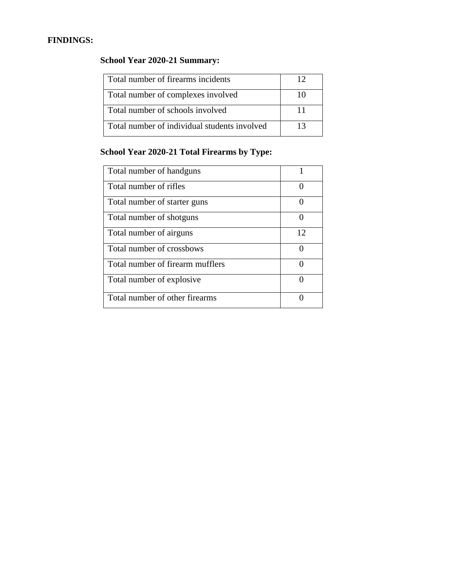### **FINDINGS:**

# **School Year 2020-21 Summary:**

| Total number of firearms incidents           |    |
|----------------------------------------------|----|
| Total number of complexes involved           |    |
| Total number of schools involved             |    |
| Total number of individual students involved | 13 |

# **School Year 2020-21 Total Firearms by Type:**

| Total number of handguns         | 1                 |
|----------------------------------|-------------------|
| Total number of rifles           | 0                 |
| Total number of starter guns     | 0                 |
| Total number of shotguns         | $\mathbf{\Omega}$ |
| Total number of airguns          | 12                |
| Total number of crossbows        |                   |
| Total number of firearm mufflers |                   |
| Total number of explosive.       |                   |
| Total number of other firearms   |                   |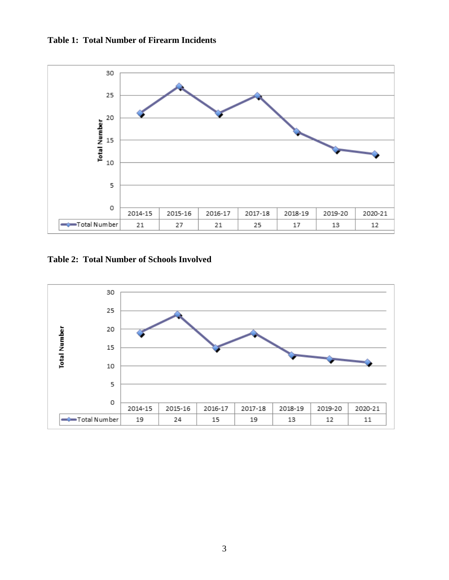



**Table 2: Total Number of Schools Involved**

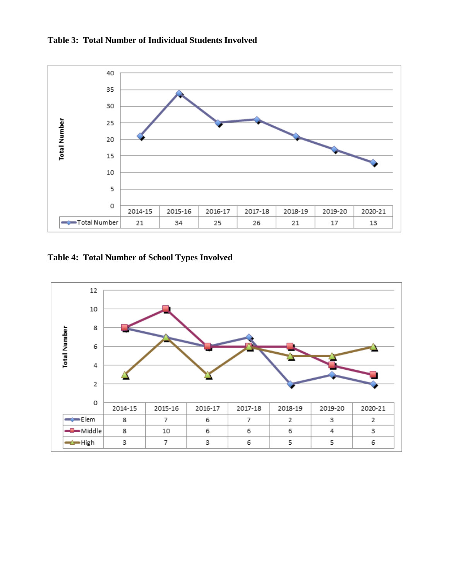



**Table 4: Total Number of School Types Involved**

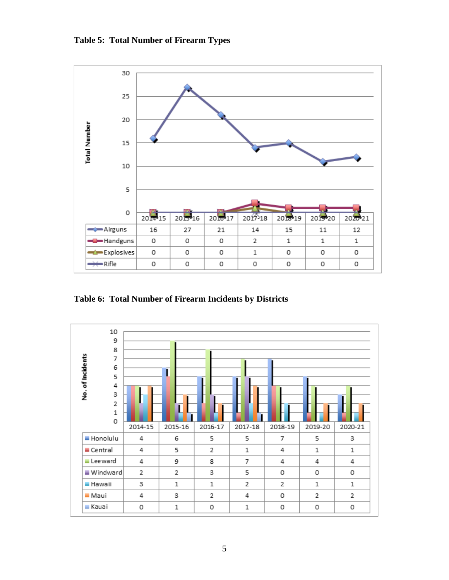

**Table 6: Total Number of Firearm Incidents by Districts**



**Table 5: Total Number of Firearm Types**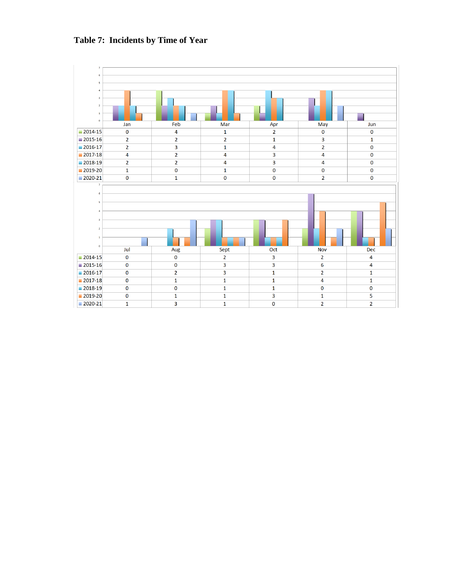

## **Table 7: Incidents by Time of Year**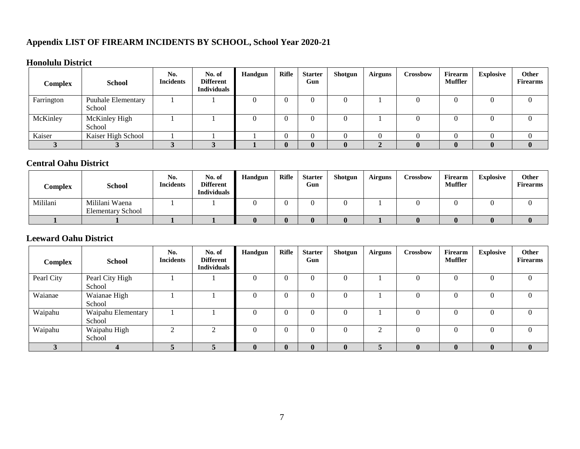# **Appendix LIST OF FIREARM INCIDENTS BY SCHOOL, School Year 2020-21**

### **Honolulu District**

| <b>Complex</b> | <b>School</b>                       | No.<br><b>Incidents</b> | No. of<br><b>Different</b><br><b>Individuals</b> | <b>Handgun</b> | <b>Rifle</b> | <b>Starter</b><br>Gun | Shotgun | <b>Airguns</b> | Crossbow | Firearm<br>Muffler | <b>Explosive</b> | Other<br><b>Firearms</b> |
|----------------|-------------------------------------|-------------------------|--------------------------------------------------|----------------|--------------|-----------------------|---------|----------------|----------|--------------------|------------------|--------------------------|
| Farrington     | <b>Puuhale Elementary</b><br>School |                         |                                                  |                |              |                       |         |                |          |                    |                  |                          |
| McKinley       | McKinley High<br>School             |                         |                                                  |                |              |                       |         |                |          |                    |                  |                          |
| Kaiser         | Kaiser High School                  |                         |                                                  |                |              |                       |         |                |          |                    |                  |                          |
|                |                                     |                         |                                                  |                |              | 0                     |         |                |          |                    |                  |                          |

# **Central Oahu District**

| Complex  | <b>School</b>            | No.<br><b>Incidents</b> | No. of<br><b>Different</b><br><b>Individuals</b> | <b>Handgun</b> | Rifle | <b>Starter</b><br>Gun | Shotgun | <b>Airguns</b> | <b>Crossbow</b> | Firearm<br><b>Muffler</b> | <b>Explosive</b> | Other<br><b>Firearms</b> |
|----------|--------------------------|-------------------------|--------------------------------------------------|----------------|-------|-----------------------|---------|----------------|-----------------|---------------------------|------------------|--------------------------|
| Mililani | Mililani Waena           |                         |                                                  |                |       |                       |         |                |                 |                           |                  |                          |
|          | <b>Elementary School</b> |                         |                                                  |                |       |                       |         |                |                 |                           |                  |                          |
|          |                          |                         |                                                  |                |       |                       |         |                |                 |                           |                  |                          |

### **Leeward Oahu District**

| <b>Complex</b> | <b>School</b>      | No.<br><b>Incidents</b> | No. of<br><b>Different</b><br><b>Individuals</b> | <b>Handgun</b> | <b>Rifle</b> | <b>Starter</b><br>Gun | Shotgun  | <b>Airguns</b> | <b>Crossbow</b> | <b>Firearm</b><br><b>Muffler</b> | <b>Explosive</b> | Other<br><b>Firearms</b> |
|----------------|--------------------|-------------------------|--------------------------------------------------|----------------|--------------|-----------------------|----------|----------------|-----------------|----------------------------------|------------------|--------------------------|
| Pearl City     | Pearl City High    |                         |                                                  | 0              |              |                       | 0        |                |                 |                                  |                  | 0                        |
|                | School             |                         |                                                  |                |              |                       |          |                |                 |                                  |                  |                          |
| Waianae        | Waianae High       |                         |                                                  | 0              |              |                       | 0        |                |                 |                                  |                  | 0                        |
|                | School             |                         |                                                  |                |              |                       |          |                |                 |                                  |                  |                          |
| Waipahu        | Waipahu Elementary |                         |                                                  | 0              |              |                       | 0        |                |                 |                                  |                  | 0                        |
|                | School             |                         |                                                  |                |              |                       |          |                |                 |                                  |                  |                          |
| Waipahu        | Waipahu High       | $\bigcap$               | ◠                                                | 0              |              |                       | 0        | ◠              |                 | 0                                |                  | 0                        |
|                | School             |                         |                                                  |                |              |                       |          |                |                 |                                  |                  |                          |
|                |                    |                         |                                                  | $\bf{0}$       |              | $\mathbf{0}$          | $\bf{0}$ | 5              | $\mathbf{0}$    | $\mathbf{0}$                     |                  | $\bf{0}$                 |